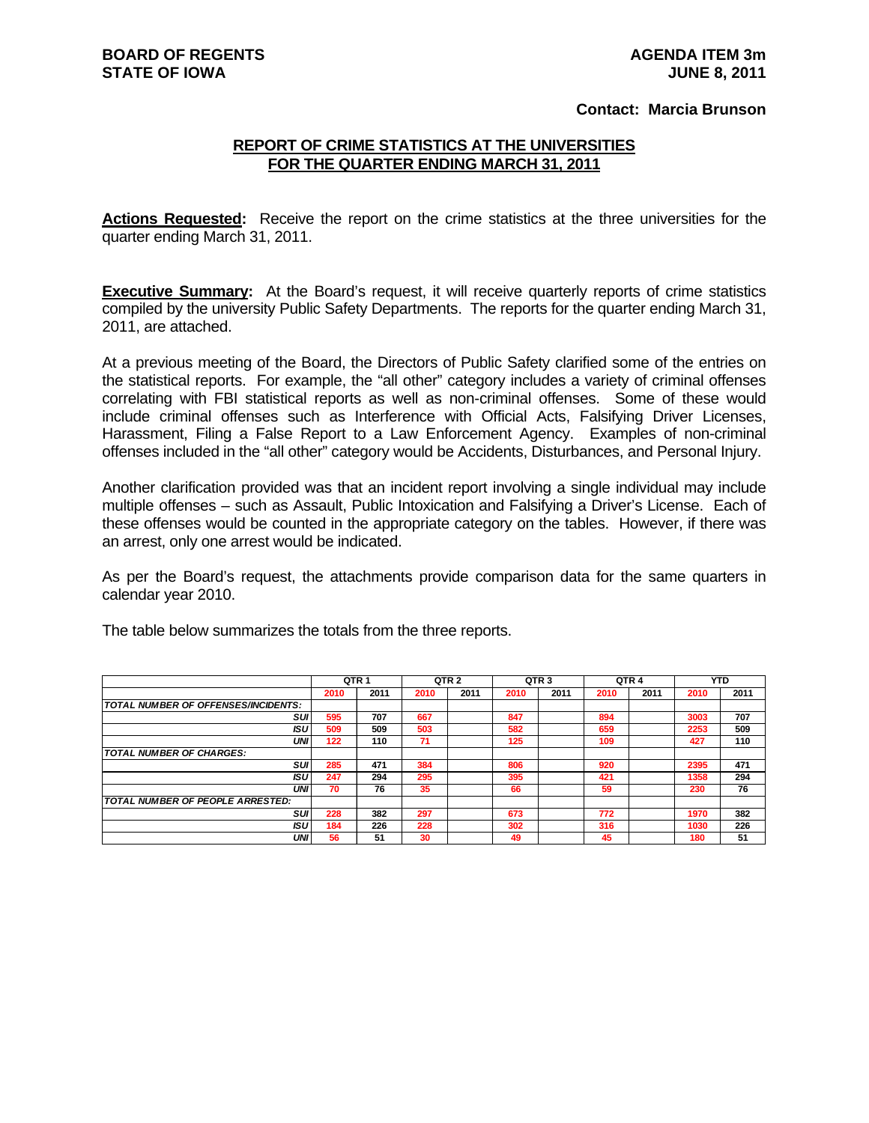## **Contact: Marcia Brunson**

## **REPORT OF CRIME STATISTICS AT THE UNIVERSITIES FOR THE QUARTER ENDING MARCH 31, 2011**

**Actions Requested:** Receive the report on the crime statistics at the three universities for the quarter ending March 31, 2011.

**Executive Summary:** At the Board's request, it will receive quarterly reports of crime statistics compiled by the university Public Safety Departments. The reports for the quarter ending March 31, 2011, are attached.

At a previous meeting of the Board, the Directors of Public Safety clarified some of the entries on the statistical reports. For example, the "all other" category includes a variety of criminal offenses correlating with FBI statistical reports as well as non-criminal offenses. Some of these would include criminal offenses such as Interference with Official Acts, Falsifying Driver Licenses, Harassment, Filing a False Report to a Law Enforcement Agency. Examples of non-criminal offenses included in the "all other" category would be Accidents, Disturbances, and Personal Injury.

Another clarification provided was that an incident report involving a single individual may include multiple offenses – such as Assault, Public Intoxication and Falsifying a Driver's License. Each of these offenses would be counted in the appropriate category on the tables. However, if there was an arrest, only one arrest would be indicated.

As per the Board's request, the attachments provide comparison data for the same quarters in calendar year 2010.

|                                     | QTR <sub>1</sub> |      |      | QTR <sub>2</sub> |      | QTR <sub>3</sub> |      | QTR <sub>4</sub> |      | YTD  |
|-------------------------------------|------------------|------|------|------------------|------|------------------|------|------------------|------|------|
|                                     | 2010             | 2011 | 2010 | 2011             | 2010 | 2011             | 2010 | 2011             | 2010 | 2011 |
| TOTAL NUMBER OF OFFENSES/INCIDENTS: |                  |      |      |                  |      |                  |      |                  |      |      |
| suı                                 | 595              | 707  | 667  |                  | 847  |                  | 894  |                  | 3003 | 707  |
| ISU                                 | 509              | 509  | 503  |                  | 582  |                  | 659  |                  | 2253 | 509  |
| UNI                                 | 122              | 110  | 71   |                  | 125  |                  | 109  |                  | 427  | 110  |
| <b>TOTAL NUMBER OF CHARGES:</b>     |                  |      |      |                  |      |                  |      |                  |      |      |
| SUI                                 | 285              | 471  | 384  |                  | 806  |                  | 920  |                  | 2395 | 471  |
| ISU                                 | 247              | 294  | 295  |                  | 395  |                  | 421  |                  | 1358 | 294  |
| UNI                                 | 70               | 76   | 35   |                  | 66   |                  | 59   |                  | 230  | 76   |
| TOTAL NUMBER OF PEOPLE ARRESTED:    |                  |      |      |                  |      |                  |      |                  |      |      |
| SUI                                 | 228              | 382  | 297  |                  | 673  |                  | 772  |                  | 1970 | 382  |
| ISU                                 | 184              | 226  | 228  |                  | 302  |                  | 316  |                  | 1030 | 226  |
| UNI                                 | 56               | 51   | 30   |                  | 49   |                  | 45   |                  | 180  | 51   |

The table below summarizes the totals from the three reports.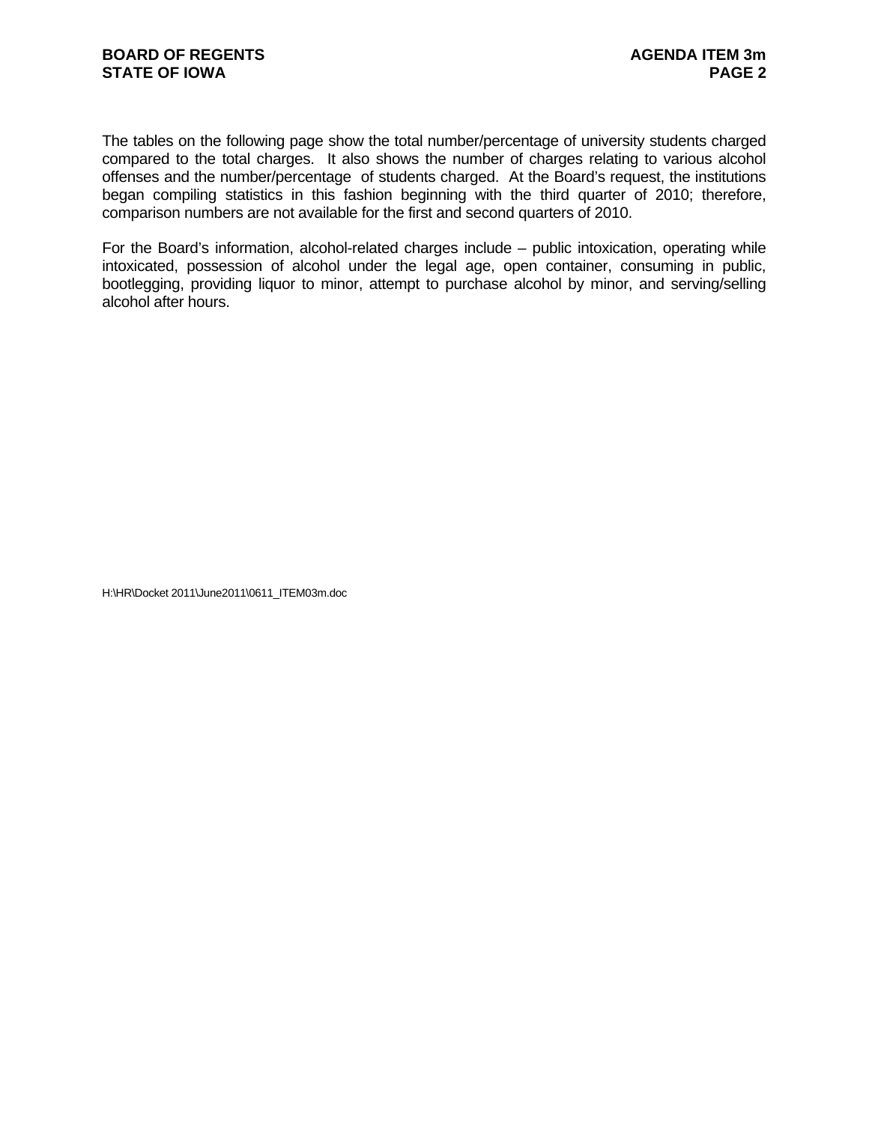The tables on the following page show the total number/percentage of university students charged compared to the total charges. It also shows the number of charges relating to various alcohol offenses and the number/percentage of students charged. At the Board's request, the institutions began compiling statistics in this fashion beginning with the third quarter of 2010; therefore, comparison numbers are not available for the first and second quarters of 2010.

For the Board's information, alcohol-related charges include – public intoxication, operating while intoxicated, possession of alcohol under the legal age, open container, consuming in public, bootlegging, providing liquor to minor, attempt to purchase alcohol by minor, and serving/selling alcohol after hours.

H:\HR\Docket 2011\June2011\0611\_ITEM03m.doc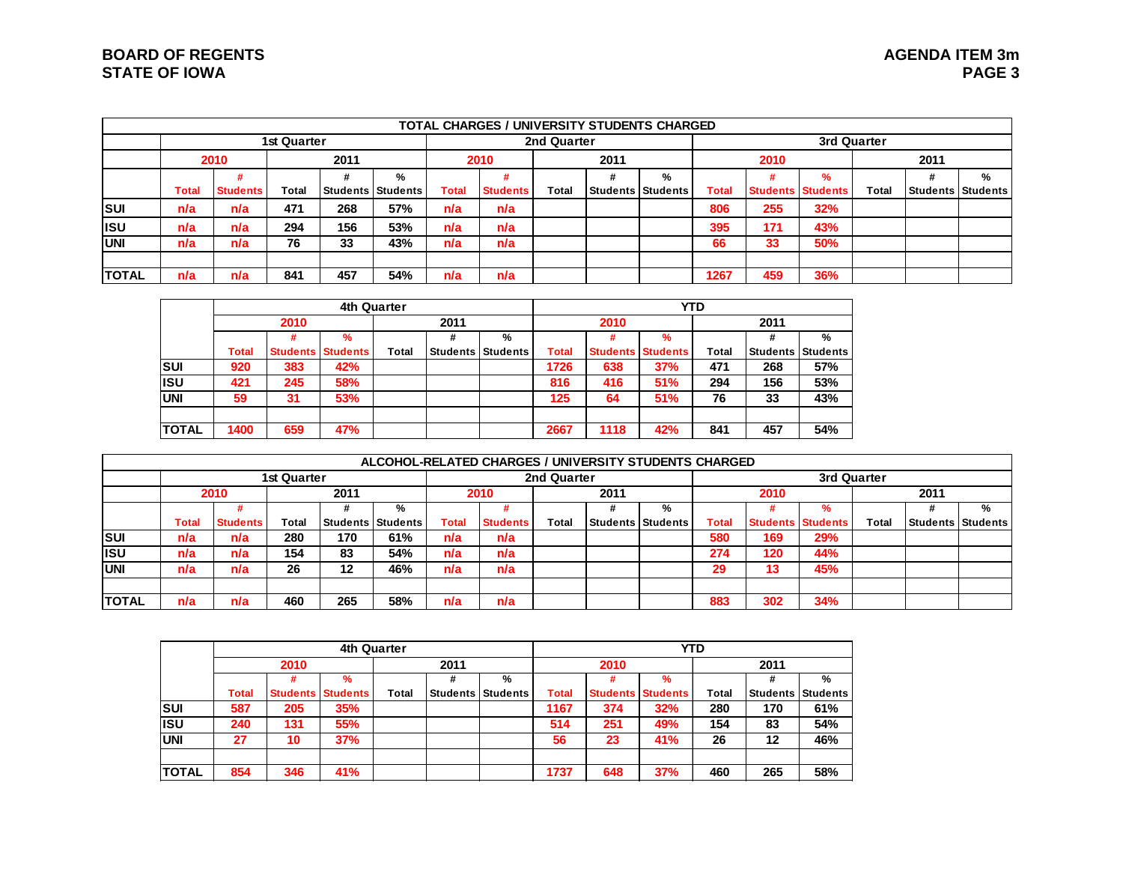# **BOARD OF REGENTS STATE OF IOWA**

|               |              |                 |             |      |                          |       | <b>TOTAL CHARGES / UNIVERSITY STUDENTS CHARGED</b> |             |      |                     |              |      |                          |              |          |                 |
|---------------|--------------|-----------------|-------------|------|--------------------------|-------|----------------------------------------------------|-------------|------|---------------------|--------------|------|--------------------------|--------------|----------|-----------------|
|               |              |                 | 1st Quarter |      |                          |       |                                                    | 2nd Quarter |      |                     |              |      |                          | 3rd Quarter  |          |                 |
|               |              | 2010            |             | 2011 |                          |       | 2010                                               |             | 2011 |                     |              | 2010 |                          |              | 2011     |                 |
|               |              |                 |             |      | %                        |       |                                                    |             |      | %                   |              |      | $\%$                     |              | #        | %               |
|               | <b>Total</b> | <b>Students</b> | Total       |      | <b>Students Students</b> | Total | <b>Students</b>                                    | Total       |      | Students   Students | <b>Total</b> |      | <b>Students Students</b> | <b>Total</b> | Students | <b>Students</b> |
| <b>ISUI</b>   | n/a          | n/a             | 471         | 268  | 57%                      | n/a   | n/a                                                |             |      |                     | 806          | 255  | 32%                      |              |          |                 |
| lisu          | n/a          | n/a             | 294         | 156  | 53%                      | n/a   | n/a                                                |             |      |                     | 395          | 171  | 43%                      |              |          |                 |
| <b>IUNI</b>   | n/a          | n/a             | 76          | 33   | 43%                      | n/a   | n/a                                                |             |      |                     | 66           | 33   | 50%                      |              |          |                 |
|               |              |                 |             |      |                          |       |                                                    |             |      |                     |              |      |                          |              |          |                 |
| <b>ITOTAL</b> | n/a          | n/a             | 841         | 457  | 54%                      | n/a   | n/a                                                |             |      |                     | 1267         | 459  | 36%                      |              |          |                 |

|              |       |      | 4th Quarter              |       |                 |          |       |                 | <b>YTD</b>      |       |                 |          |
|--------------|-------|------|--------------------------|-------|-----------------|----------|-------|-----------------|-----------------|-------|-----------------|----------|
|              |       | 2010 |                          |       | 2011            |          |       | 2010            |                 |       | 2011            |          |
|              |       | ₩    | %                        |       | #               | %        |       | #               | $\frac{9}{6}$   |       | #               | %        |
|              | Total |      | <b>Students Students</b> | Total | <b>Students</b> | Students | Total | <b>Students</b> | <b>Students</b> | Total | <b>Students</b> | Students |
| Isul         | 920   | 383  | 42%                      |       |                 |          | 1726  | 638             | 37%             | 471   | 268             | 57%      |
| <b>ISU</b>   | 421   | 245  | 58%                      |       |                 |          | 816   | 416             | 51%             | 294   | 156             | 53%      |
| <b>UNI</b>   | 59    | 31   | 53%                      |       |                 |          | 125   | 64              | 51%             | 76    | 33              | 43%      |
|              |       |      |                          |       |                 |          |       |                 |                 |       |                 |          |
| <b>TOTAL</b> | 1400  | 659  | 47%                      |       |                 |          | 2667  | 1118            | 42%             | 841   | 457             | 54%      |

|              |       |                 |             |         |                          |       | ALCOHOL-RELATED CHARGES / UNIVERSITY STUDENTS CHARGED |             |      |                          |       |                          |             |              |                       |   |
|--------------|-------|-----------------|-------------|---------|--------------------------|-------|-------------------------------------------------------|-------------|------|--------------------------|-------|--------------------------|-------------|--------------|-----------------------|---|
|              |       |                 | 1st Quarter |         |                          |       |                                                       | 2nd Quarter |      |                          |       |                          | 3rd Quarter |              |                       |   |
|              |       | 2010            |             | 2011    |                          |       | 2010                                                  |             | 2011 |                          |       | 2010                     |             |              | 2011                  |   |
|              |       |                 |             |         | %                        |       |                                                       |             |      | %                        |       |                          | %           |              |                       | % |
|              | Total | <b>Students</b> | Total       |         | <b>Students Students</b> | Total | <b>Students</b>                                       | Total       |      | <b>Students Students</b> | Total | <b>Students Students</b> |             | <b>Total</b> | l Students I Students |   |
| <b>SUI</b>   | n/a   | n/a             | 280         | 170     | 61%                      | n/a   | n/a                                                   |             |      |                          | 580   | 169                      | 29%         |              |                       |   |
| <b>I</b> ISU | n/a   | n/a             | 154         | 83      | 54%                      | n/a   | n/a                                                   |             |      |                          | 274   | 120                      | 44%         |              |                       |   |
| <b>IUNI</b>  | n/a   | n/a             | 26          | $12 \,$ | 46%                      | n/a   | n/a                                                   |             |      |                          | 29    | 13                       | 45%         |              |                       |   |
|              |       |                 |             |         |                          |       |                                                       |             |      |                          |       |                          |             |              |                       |   |
| <b>TOTAL</b> | n/a   | n/a             | 460         | 265     | 58%                      | n/a   | n/a                                                   |             |      |                          | 883   | 302                      | 34%         |              |                       |   |

|               |              |      | 4th Quarter              |       |      |                          |              |                 | <b>YTD</b>      |       |                 |           |
|---------------|--------------|------|--------------------------|-------|------|--------------------------|--------------|-----------------|-----------------|-------|-----------------|-----------|
|               |              | 2010 |                          |       | 2011 |                          |              | 2010            |                 |       | 2011            |           |
|               |              |      | %                        |       |      | %                        |              |                 | $\frac{9}{6}$   |       | #               | %         |
|               | <b>Total</b> |      | <b>Students Students</b> | Total |      | <b>Students Students</b> | <b>Total</b> | <b>Students</b> | <b>Students</b> | Total | <b>Students</b> | IStudents |
| <b>SUI</b>    | 587          | 205  | 35%                      |       |      |                          | 1167         | 374             | 32%             | 280   | 170             | 61%       |
| <b>ISU</b>    | 240          | 131  | 55%                      |       |      |                          | 514          | 251             | 49%             | 154   | 83              | 54%       |
| <b>UNI</b>    | 27           | 10   | 37%                      |       |      |                          | 56           | 23              | 41%             | 26    | 12              | 46%       |
|               |              |      |                          |       |      |                          |              |                 |                 |       |                 |           |
| <b>ITOTAL</b> | 854          | 346  | 41%                      |       |      |                          | 1737         | 648             | 37%             | 460   | 265             | 58%       |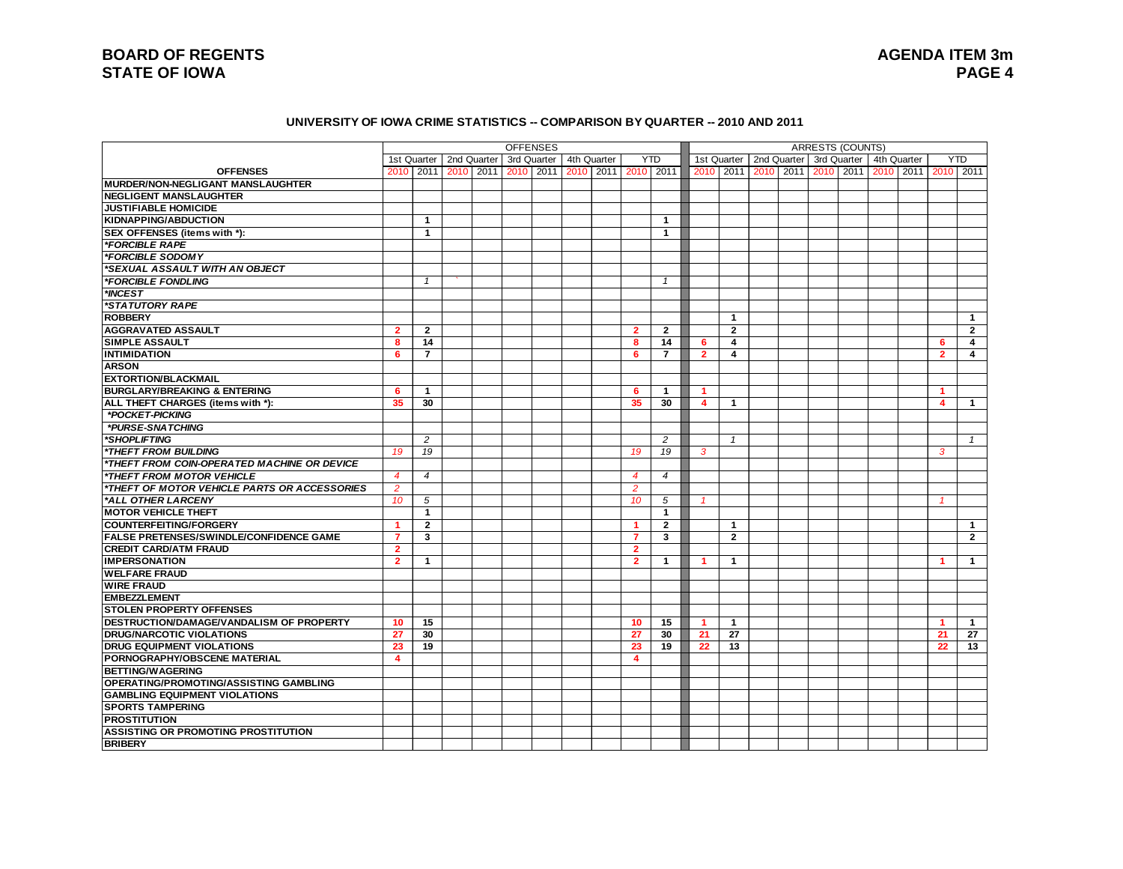#### **UNIVERSITY OF IOWA CRIME STATISTICS -- COMPARISON BY QUARTER -- 2010 AND 2011**

|                                                |                 |                |                                 | <b>OFFENSES</b> |                     |                |                |                      |                |           |             | <b>ARRESTS (COUNTS)</b> |  |             |                      |                         |
|------------------------------------------------|-----------------|----------------|---------------------------------|-----------------|---------------------|----------------|----------------|----------------------|----------------|-----------|-------------|-------------------------|--|-------------|----------------------|-------------------------|
|                                                |                 |                | 1st Quarter   2nd Quarter       | 3rd Quarter     | 4th Quarter         |                | <b>YTD</b>     |                      | 1st Quarter    |           | 2nd Quarter | 3rd Quarter             |  | 4th Quarter |                      | <b>YTD</b>              |
| <b>OFFENSES</b>                                |                 |                | 2010 2011 2010 2011 2010 2011 1 |                 | 2010 2011 2010 2011 |                |                | 2010                 | 2011           | 2010 2011 |             | 2010 2011               |  | 2010 2011   |                      | 2010 2011               |
| MURDER/NON-NEGLIGANT MANSLAUGHTER              |                 |                |                                 |                 |                     |                |                |                      |                |           |             |                         |  |             |                      |                         |
| <b>NEGLIGENT MANSLAUGHTER</b>                  |                 |                |                                 |                 |                     |                |                |                      |                |           |             |                         |  |             |                      |                         |
| <b>JUSTIFIABLE HOMICIDE</b>                    |                 |                |                                 |                 |                     |                |                |                      |                |           |             |                         |  |             |                      |                         |
| KIDNAPPING/ABDUCTION                           |                 | $\mathbf{1}$   |                                 |                 |                     |                | -1             |                      |                |           |             |                         |  |             |                      |                         |
| SEX OFFENSES (items with *):                   |                 | 1              |                                 |                 |                     |                | $\mathbf{1}$   |                      |                |           |             |                         |  |             |                      |                         |
| *FORCIBLE RAPE                                 |                 |                |                                 |                 |                     |                |                |                      |                |           |             |                         |  |             |                      |                         |
| *FORCIBLE SODOMY                               |                 |                |                                 |                 |                     |                |                |                      |                |           |             |                         |  |             |                      |                         |
| <i><b>*SEXUAL ASSAULT WITH AN OBJECT</b></i>   |                 |                |                                 |                 |                     |                |                |                      |                |           |             |                         |  |             |                      |                         |
| *FORCIBLE FONDLING                             |                 | $\mathbf{1}$   |                                 |                 |                     |                | $\mathbf{1}$   |                      |                |           |             |                         |  |             |                      |                         |
| *INCEST                                        |                 |                |                                 |                 |                     |                |                |                      |                |           |             |                         |  |             |                      |                         |
| <i><b>*STATUTORY RAPE</b></i>                  |                 |                |                                 |                 |                     |                |                |                      |                |           |             |                         |  |             |                      |                         |
| <b>ROBBERY</b>                                 |                 |                |                                 |                 |                     |                |                |                      | $\mathbf{1}$   |           |             |                         |  |             |                      | $\mathbf{1}$            |
| <b>AGGRAVATED ASSAULT</b>                      | $\overline{2}$  | $\overline{2}$ |                                 |                 |                     | $\overline{2}$ | $\overline{2}$ |                      | $\overline{2}$ |           |             |                         |  |             |                      | $\overline{2}$          |
| <b>SIMPLE ASSAULT</b>                          | 8               | 14             |                                 |                 |                     | 8              | 14             | 6                    | 4              |           |             |                         |  |             | 6                    | 4                       |
| <b>INTIMIDATION</b>                            | 6               | $\overline{7}$ |                                 |                 |                     | 6              | $\overline{7}$ | $\overline{2}$       | 4              |           |             |                         |  |             | $\overline{2}$       | $\overline{\mathbf{4}}$ |
| <b>ARSON</b>                                   |                 |                |                                 |                 |                     |                |                |                      |                |           |             |                         |  |             |                      |                         |
| <b>EXTORTION/BLACKMAIL</b>                     |                 |                |                                 |                 |                     |                |                |                      |                |           |             |                         |  |             |                      |                         |
| <b>BURGLARY/BREAKING &amp; ENTERING</b>        | 6               | $\mathbf{1}$   |                                 |                 |                     | 6              | $\mathbf{1}$   | $\blacktriangleleft$ |                |           |             |                         |  |             | -1                   |                         |
| ALL THEFT CHARGES (items with *):              | 35              | 30             |                                 |                 |                     | 35             | 30             | 4                    | $\mathbf{1}$   |           |             |                         |  |             | 4                    | $\mathbf{1}$            |
| *POCKET-PICKING                                |                 |                |                                 |                 |                     |                |                |                      |                |           |             |                         |  |             |                      |                         |
| *PURSE-SNATCHING                               |                 |                |                                 |                 |                     |                |                |                      |                |           |             |                         |  |             |                      |                         |
| *SHOPLIFTING                                   |                 | $\overline{2}$ |                                 |                 |                     |                | $\overline{c}$ |                      | $\mathbf{1}$   |           |             |                         |  |             |                      | $\mathbf{1}$            |
| <i><b>*THEFT FROM BUILDING</b></i>             | 19              | 19             |                                 |                 |                     | 19             | 19             | 3                    |                |           |             |                         |  |             | 3                    |                         |
| *THEFT FROM COIN-OPERATED MACHINE OR DEVICE    |                 |                |                                 |                 |                     |                |                |                      |                |           |             |                         |  |             |                      |                         |
| *THEFT FROM MOTOR VEHICLE                      | 4               | $\overline{4}$ |                                 |                 |                     | 4              | $\overline{4}$ |                      |                |           |             |                         |  |             |                      |                         |
| *THEFT OF MOTOR VEHICLE PARTS OR ACCESSORIES   | $\overline{a}$  |                |                                 |                 |                     | $\overline{a}$ |                |                      |                |           |             |                         |  |             |                      |                         |
| *ALL OTHER LARCENY                             | 10              | 5              |                                 |                 |                     | 10             | 5              |                      |                |           |             |                         |  |             |                      |                         |
| <b>MOTOR VEHICLE THEFT</b>                     |                 | 1              |                                 |                 |                     |                | $\mathbf{1}$   |                      |                |           |             |                         |  |             |                      |                         |
| <b>COUNTERFEITING/FORGERY</b>                  | 1               | $\overline{2}$ |                                 |                 |                     |                | $\mathbf{2}$   |                      | 1              |           |             |                         |  |             |                      | $\mathbf{1}$            |
| <b>FALSE PRETENSES/SWINDLE/CONFIDENCE GAME</b> | $\overline{7}$  | 3              |                                 |                 |                     | $\overline{7}$ | 3              |                      | $\overline{2}$ |           |             |                         |  |             |                      | $\overline{2}$          |
| <b>CREDIT CARD/ATM FRAUD</b>                   | $\overline{2}$  |                |                                 |                 |                     | $\overline{2}$ |                |                      |                |           |             |                         |  |             |                      |                         |
| <b>IMPERSONATION</b>                           | $\overline{2}$  | $\mathbf{1}$   |                                 |                 |                     | $\overline{2}$ | $\mathbf{1}$   | 1                    | $\mathbf{1}$   |           |             |                         |  |             | $\blacktriangleleft$ | $\mathbf{1}$            |
| <b>WELFARE FRAUD</b>                           |                 |                |                                 |                 |                     |                |                |                      |                |           |             |                         |  |             |                      |                         |
| <b>WIRE FRAUD</b>                              |                 |                |                                 |                 |                     |                |                |                      |                |           |             |                         |  |             |                      |                         |
| <b>EMBEZZLEMENT</b>                            |                 |                |                                 |                 |                     |                |                |                      |                |           |             |                         |  |             |                      |                         |
| <b>STOLEN PROPERTY OFFENSES</b>                |                 |                |                                 |                 |                     |                |                |                      |                |           |             |                         |  |             |                      |                         |
| DESTRUCTION/DAMAGE/VANDALISM OF PROPERTY       | 10 <sup>1</sup> | 15             |                                 |                 |                     | 10             | 15             | 1                    | $\mathbf{1}$   |           |             |                         |  |             | $\blacktriangleleft$ | $\mathbf{1}$            |
| <b>DRUG/NARCOTIC VIOLATIONS</b>                | 27              | 30             |                                 |                 |                     | 27             | 30             | 21                   | 27             |           |             |                         |  |             | 21                   | 27                      |
| <b>DRUG EQUIPMENT VIOLATIONS</b>               | 23              | 19             |                                 |                 |                     | 23             | 19             | 22                   | 13             |           |             |                         |  |             | 22                   | 13                      |
| <b>PORNOGRAPHY/OBSCENE MATERIAL</b>            | $\overline{4}$  |                |                                 |                 |                     | 4              |                |                      |                |           |             |                         |  |             |                      |                         |
| <b>BETTING/WAGERING</b>                        |                 |                |                                 |                 |                     |                |                |                      |                |           |             |                         |  |             |                      |                         |
| OPERATING/PROMOTING/ASSISTING GAMBLING         |                 |                |                                 |                 |                     |                |                |                      |                |           |             |                         |  |             |                      |                         |
| <b>GAMBLING EQUIPMENT VIOLATIONS</b>           |                 |                |                                 |                 |                     |                |                |                      |                |           |             |                         |  |             |                      |                         |
| <b>SPORTS TAMPERING</b>                        |                 |                |                                 |                 |                     |                |                |                      |                |           |             |                         |  |             |                      |                         |
| <b>PROSTITUTION</b>                            |                 |                |                                 |                 |                     |                |                |                      |                |           |             |                         |  |             |                      |                         |
| <b>ASSISTING OR PROMOTING PROSTITUTION</b>     |                 |                |                                 |                 |                     |                |                |                      |                |           |             |                         |  |             |                      |                         |
| <b>BRIBERY</b>                                 |                 |                |                                 |                 |                     |                |                |                      |                |           |             |                         |  |             |                      |                         |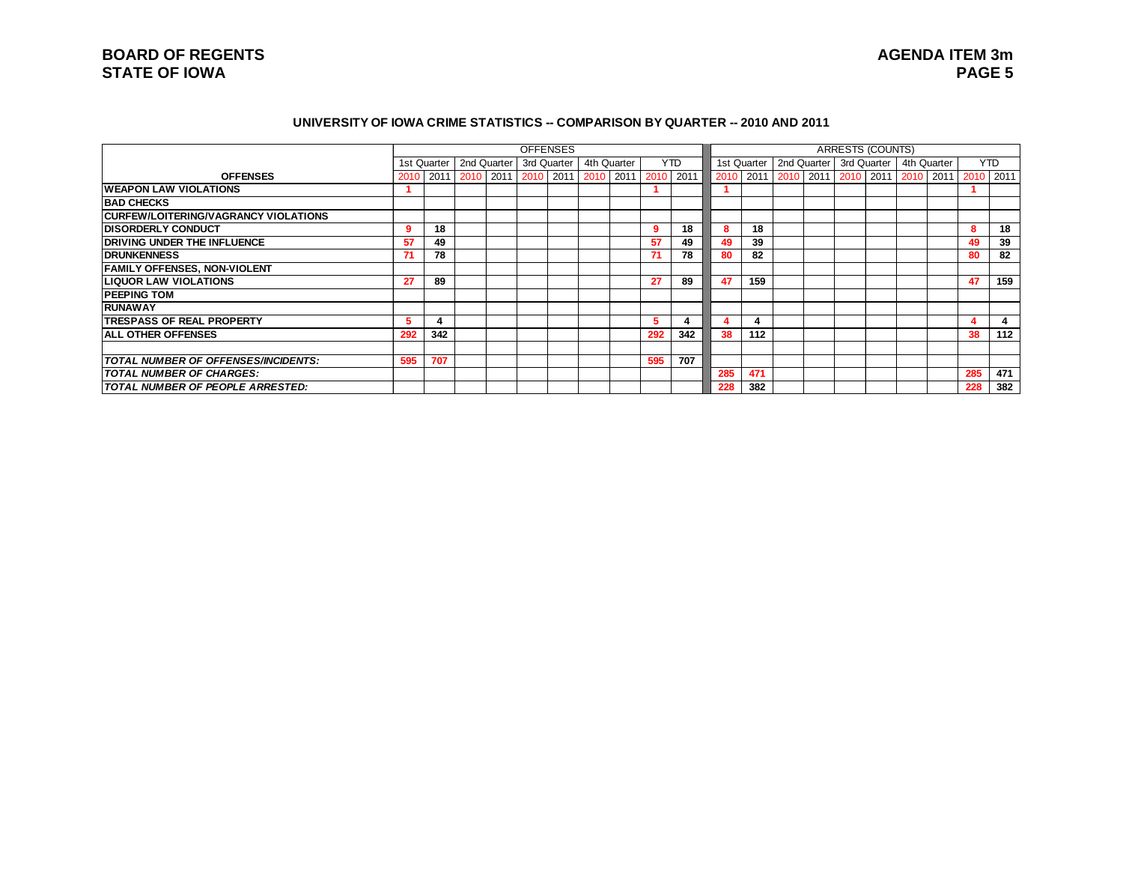#### **UNIVERSITY OF IOWA CRIME STATISTICS -- COMPARISON BY QUARTER -- 2010 AND 2011**

|                                             |      |     |                                         |  | <b>OFFENSES</b> |             |     |      |           |             |  | <b>ARRESTS (COUNTS)</b>   |  |             |           |            |
|---------------------------------------------|------|-----|-----------------------------------------|--|-----------------|-------------|-----|------|-----------|-------------|--|---------------------------|--|-------------|-----------|------------|
|                                             |      |     | 1st Quarter   2nd Quarter   3rd Quarter |  |                 | 4th Quarter |     | YTD. |           | 1st Quarter |  | 2nd Quarter   3rd Quarter |  | 4th Quarter |           | <b>YTD</b> |
| <b>OFFENSES</b>                             | 2010 |     |                                         |  |                 |             |     |      | 2010 2011 |             |  | 2010 2011 2010 2011 2010  |  | 2011        | 2010 2011 |            |
| <b>IWEAPON LAW VIOLATIONS</b>               |      |     |                                         |  |                 |             |     |      |           |             |  |                           |  |             |           |            |
| <b>BAD CHECKS</b>                           |      |     |                                         |  |                 |             |     |      |           |             |  |                           |  |             |           |            |
| <b>CURFEW/LOITERING/VAGRANCY VIOLATIONS</b> |      |     |                                         |  |                 |             |     |      |           |             |  |                           |  |             |           |            |
| <b>DISORDERLY CONDUCT</b>                   | 9    | 18  |                                         |  |                 |             | -9  | 18   | 8         | 18          |  |                           |  |             | 8         | 18         |
| <b>DRIVING UNDER THE INFLUENCE</b>          | 57   | 49  |                                         |  |                 |             | 57  | 49   | 49        | 39          |  |                           |  |             | 49        | 39         |
| <b>IDRUNKENNESS</b>                         | 71   | 78  |                                         |  |                 |             | 71  | 78   | 80        | 82          |  |                           |  |             | 80        | 82         |
| <b>FAMILY OFFENSES, NON-VIOLENT</b>         |      |     |                                         |  |                 |             |     |      |           |             |  |                           |  |             |           |            |
| <b>LIQUOR LAW VIOLATIONS</b>                | 27   | 89  |                                         |  |                 |             | 27  | 89   | 47        | 159         |  |                           |  |             | 47        | 159        |
| <b>PEEPING TOM</b>                          |      |     |                                         |  |                 |             |     |      |           |             |  |                           |  |             |           |            |
| <b>RUNAWAY</b>                              |      |     |                                         |  |                 |             |     |      |           |             |  |                           |  |             |           |            |
| <b>ITRESPASS OF REAL PROPERTY</b>           |      | 4   |                                         |  |                 |             | 5.  |      |           |             |  |                           |  |             |           | 4          |
| <b>ALL OTHER OFFENSES</b>                   | 292  | 342 |                                         |  |                 |             | 292 | 342  | 38        | 112         |  |                           |  |             | 38        | 112        |
|                                             |      |     |                                         |  |                 |             |     |      |           |             |  |                           |  |             |           |            |
| <b>TOTAL NUMBER OF OFFENSES/INCIDENTS:</b>  | 595  | 707 |                                         |  |                 |             | 595 | 707  |           |             |  |                           |  |             |           |            |
| <b>TOTAL NUMBER OF CHARGES:</b>             |      |     |                                         |  |                 |             |     |      | 285       | 471         |  |                           |  |             | 285       | 471        |
| <b>TOTAL NUMBER OF PEOPLE ARRESTED:</b>     |      |     |                                         |  |                 |             |     |      | 228       | 382         |  |                           |  |             | 228       | 382        |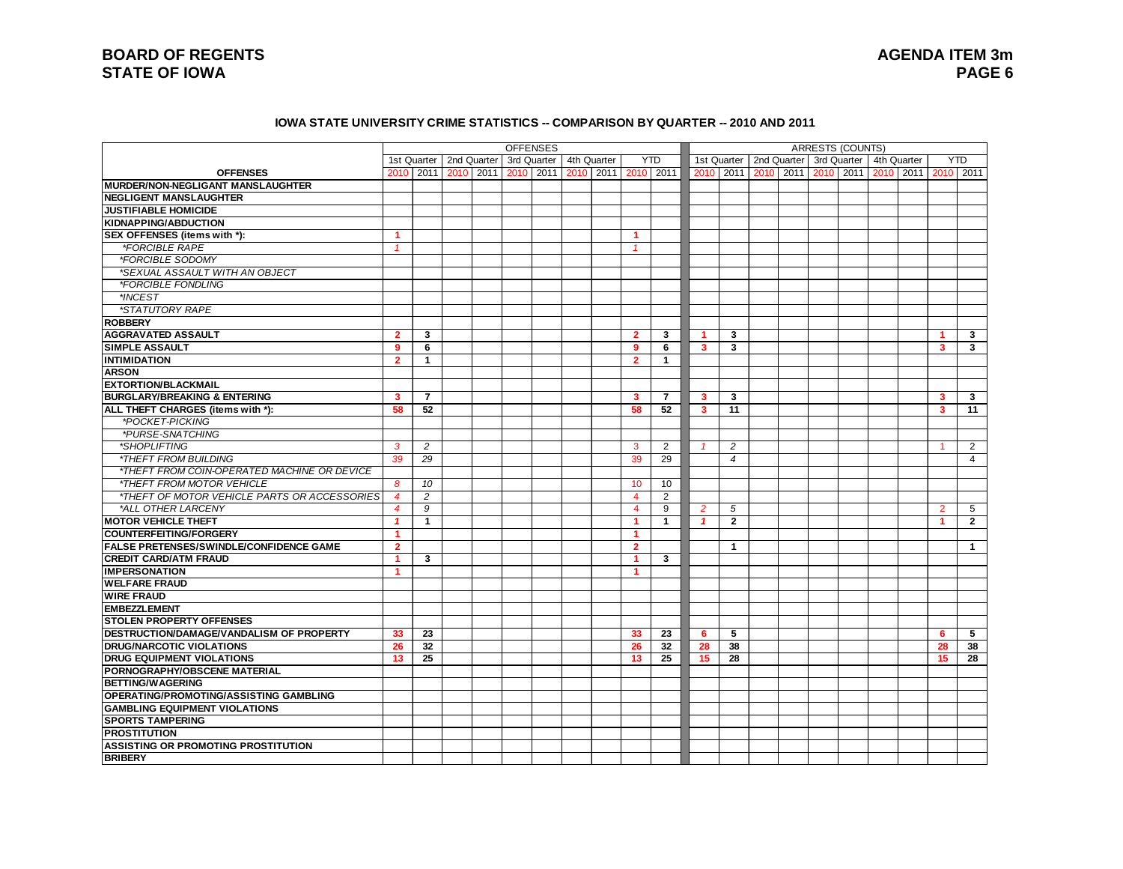#### **IOWA STATE UNIVERSITY CRIME STATISTICS -- COMPARISON BY QUARTER -- 2010 AND 2011**

|                                                |                |                |             | <b>OFFENSES</b> |           |                     |                      |                |                |                |      |             | <b>ARRESTS (COUNTS)</b> |             |             |                |                |
|------------------------------------------------|----------------|----------------|-------------|-----------------|-----------|---------------------|----------------------|----------------|----------------|----------------|------|-------------|-------------------------|-------------|-------------|----------------|----------------|
|                                                |                | 1st Quarter    | 2nd Quarter | 3rd Quarter     |           | 4th Quarter         |                      | <b>YTD</b>     |                | 1st Quarter    |      | 2nd Quarter |                         | 3rd Quarter | 4th Quarter |                | <b>YTD</b>     |
| <b>OFFENSES</b>                                |                | 2010 2011      | 2010 2011   |                 | 2010 2011 | 2010 2011 2010 2011 |                      |                | 2010           | 2011           | 2010 | 2011        |                         | 2010 2011   | 2010 2011   | 2010 2011      |                |
| <b>MURDER/NON-NEGLIGANT MANSLAUGHTER</b>       |                |                |             |                 |           |                     |                      |                |                |                |      |             |                         |             |             |                |                |
| <b>NEGLIGENT MANSLAUGHTER</b>                  |                |                |             |                 |           |                     |                      |                |                |                |      |             |                         |             |             |                |                |
| <b>JUSTIFIABLE HOMICIDE</b>                    |                |                |             |                 |           |                     |                      |                |                |                |      |             |                         |             |             |                |                |
| KIDNAPPING/ABDUCTION                           |                |                |             |                 |           |                     |                      |                |                |                |      |             |                         |             |             |                |                |
| SEX OFFENSES (items with *):                   | 1              |                |             |                 |           |                     | 1                    |                |                |                |      |             |                         |             |             |                |                |
| *FORCIBLE RAPE                                 | $\mathcal I$   |                |             |                 |           |                     |                      |                |                |                |      |             |                         |             |             |                |                |
| *FORCIBLE SODOMY                               |                |                |             |                 |           |                     |                      |                |                |                |      |             |                         |             |             |                |                |
| *SEXUAL ASSAULT WITH AN OBJECT                 |                |                |             |                 |           |                     |                      |                |                |                |      |             |                         |             |             |                |                |
| *FORCIBLE FONDLING                             |                |                |             |                 |           |                     |                      |                |                |                |      |             |                         |             |             |                |                |
| *INCEST                                        |                |                |             |                 |           |                     |                      |                |                |                |      |             |                         |             |             |                |                |
| *STATUTORY RAPE                                |                |                |             |                 |           |                     |                      |                |                |                |      |             |                         |             |             |                |                |
| <b>ROBBERY</b>                                 |                |                |             |                 |           |                     |                      |                |                |                |      |             |                         |             |             |                |                |
| <b>AGGRAVATED ASSAULT</b>                      | $\overline{2}$ | 3              |             |                 |           |                     | $\overline{2}$       | 3              |                | 3              |      |             |                         |             |             |                | 3              |
| <b>SIMPLE ASSAULT</b>                          | 9              | 6              |             |                 |           |                     | 9                    | 6              | 3              | 3              |      |             |                         |             |             | 3              | 3              |
| <b>INTIMIDATION</b>                            | $\overline{2}$ | $\mathbf{1}$   |             |                 |           |                     | $\overline{2}$       | $\mathbf{1}$   |                |                |      |             |                         |             |             |                |                |
| <b>ARSON</b>                                   |                |                |             |                 |           |                     |                      |                |                |                |      |             |                         |             |             |                |                |
| <b>EXTORTION/BLACKMAIL</b>                     |                |                |             |                 |           |                     |                      |                |                |                |      |             |                         |             |             |                |                |
| <b>BURGLARY/BREAKING &amp; ENTERING</b>        | 3              | $\overline{7}$ |             |                 |           |                     | 3                    | $\overline{7}$ | 3              | 3              |      |             |                         |             |             | 3              | 3              |
| ALL THEFT CHARGES (items with *):              | 58             | 52             |             |                 |           |                     | 58                   | 52             | 3              | 11             |      |             |                         |             |             | 3              | 11             |
| *POCKET-PICKING                                |                |                |             |                 |           |                     |                      |                |                |                |      |             |                         |             |             |                |                |
| *PURSE-SNATCHING                               |                |                |             |                 |           |                     |                      |                |                |                |      |             |                         |             |             |                |                |
| *SHOPLIFTING                                   | 3              | $\overline{c}$ |             |                 |           |                     | 3                    | 2              |                | $\overline{c}$ |      |             |                         |             |             |                | 2              |
| <i><b>*THEFT FROM BUILDING</b></i>             | 39             | 29             |             |                 |           |                     | 39                   | 29             |                | $\overline{4}$ |      |             |                         |             |             |                | $\overline{4}$ |
| *THEFT FROM COIN-OPERATED MACHINE OR DEVICE    |                |                |             |                 |           |                     |                      |                |                |                |      |             |                         |             |             |                |                |
| *THEFT FROM MOTOR VEHICLE                      | 8              | 10             |             |                 |           |                     | 10 <sup>1</sup>      | 10             |                |                |      |             |                         |             |             |                |                |
| *THEFT OF MOTOR VEHICLE PARTS OR ACCESSORIES   | $\overline{4}$ | $\overline{c}$ |             |                 |           |                     | $\overline{4}$       | $\overline{2}$ |                |                |      |             |                         |             |             |                |                |
| *ALL OTHER LARCENY                             | $\overline{4}$ | 9              |             |                 |           |                     | $\overline{4}$       | 9              | $\overline{2}$ | 5              |      |             |                         |             |             | $\overline{2}$ | 5              |
| <b>MOTOR VEHICLE THEFT</b>                     | $\mathbf{1}$   | $\mathbf{1}$   |             |                 |           |                     | 1                    | $\mathbf{1}$   | $\mathbf{1}$   | $\overline{2}$ |      |             |                         |             |             | -1             | $\overline{2}$ |
| <b>COUNTERFEITING/FORGERY</b>                  | 1              |                |             |                 |           |                     | $\blacktriangleleft$ |                |                |                |      |             |                         |             |             |                |                |
| <b>FALSE PRETENSES/SWINDLE/CONFIDENCE GAME</b> | $\overline{2}$ |                |             |                 |           |                     | $\overline{2}$       |                |                | $\mathbf{1}$   |      |             |                         |             |             |                | $\mathbf{1}$   |
| <b>CREDIT CARD/ATM FRAUD</b>                   | 1              | 3              |             |                 |           |                     | -1                   | 3              |                |                |      |             |                         |             |             |                |                |
| <b>IMPERSONATION</b>                           | 1              |                |             |                 |           |                     | $\blacktriangleleft$ |                |                |                |      |             |                         |             |             |                |                |
| <b>WELFARE FRAUD</b>                           |                |                |             |                 |           |                     |                      |                |                |                |      |             |                         |             |             |                |                |
| <b>WIRE FRAUD</b>                              |                |                |             |                 |           |                     |                      |                |                |                |      |             |                         |             |             |                |                |
| <b>EMBEZZLEMENT</b>                            |                |                |             |                 |           |                     |                      |                |                |                |      |             |                         |             |             |                |                |
| <b>STOLEN PROPERTY OFFENSES</b>                |                |                |             |                 |           |                     |                      |                |                |                |      |             |                         |             |             |                |                |
| DESTRUCTION/DAMAGE/VANDALISM OF PROPERTY       | 33             | 23             |             |                 |           |                     | 33                   | 23             | 6              | 5              |      |             |                         |             |             | 6              | 5              |
| <b>DRUG/NARCOTIC VIOLATIONS</b>                | 26             | 32             |             |                 |           |                     | 26                   | 32             | 28             | 38             |      |             |                         |             |             | 28             | 38             |
| <b>DRUG EQUIPMENT VIOLATIONS</b>               | 13             | 25             |             |                 |           |                     | 13                   | 25             | 15             | 28             |      |             |                         |             |             | 15             | 28             |
| <b>PORNOGRAPHY/OBSCENE MATERIAL</b>            |                |                |             |                 |           |                     |                      |                |                |                |      |             |                         |             |             |                |                |
| <b>BETTING/WAGERING</b>                        |                |                |             |                 |           |                     |                      |                |                |                |      |             |                         |             |             |                |                |
| <b>OPERATING/PROMOTING/ASSISTING GAMBLING</b>  |                |                |             |                 |           |                     |                      |                |                |                |      |             |                         |             |             |                |                |
| <b>GAMBLING EQUIPMENT VIOLATIONS</b>           |                |                |             |                 |           |                     |                      |                |                |                |      |             |                         |             |             |                |                |
| <b>SPORTS TAMPERING</b>                        |                |                |             |                 |           |                     |                      |                |                |                |      |             |                         |             |             |                |                |
| <b>PROSTITUTION</b>                            |                |                |             |                 |           |                     |                      |                |                |                |      |             |                         |             |             |                |                |
| <b>ASSISTING OR PROMOTING PROSTITUTION</b>     |                |                |             |                 |           |                     |                      |                |                |                |      |             |                         |             |             |                |                |
| <b>BRIBERY</b>                                 |                |                |             |                 |           |                     |                      |                |                |                |      |             |                         |             |             |                |                |
|                                                |                |                |             |                 |           |                     |                      |                |                |                |      |             |                         |             |             |                |                |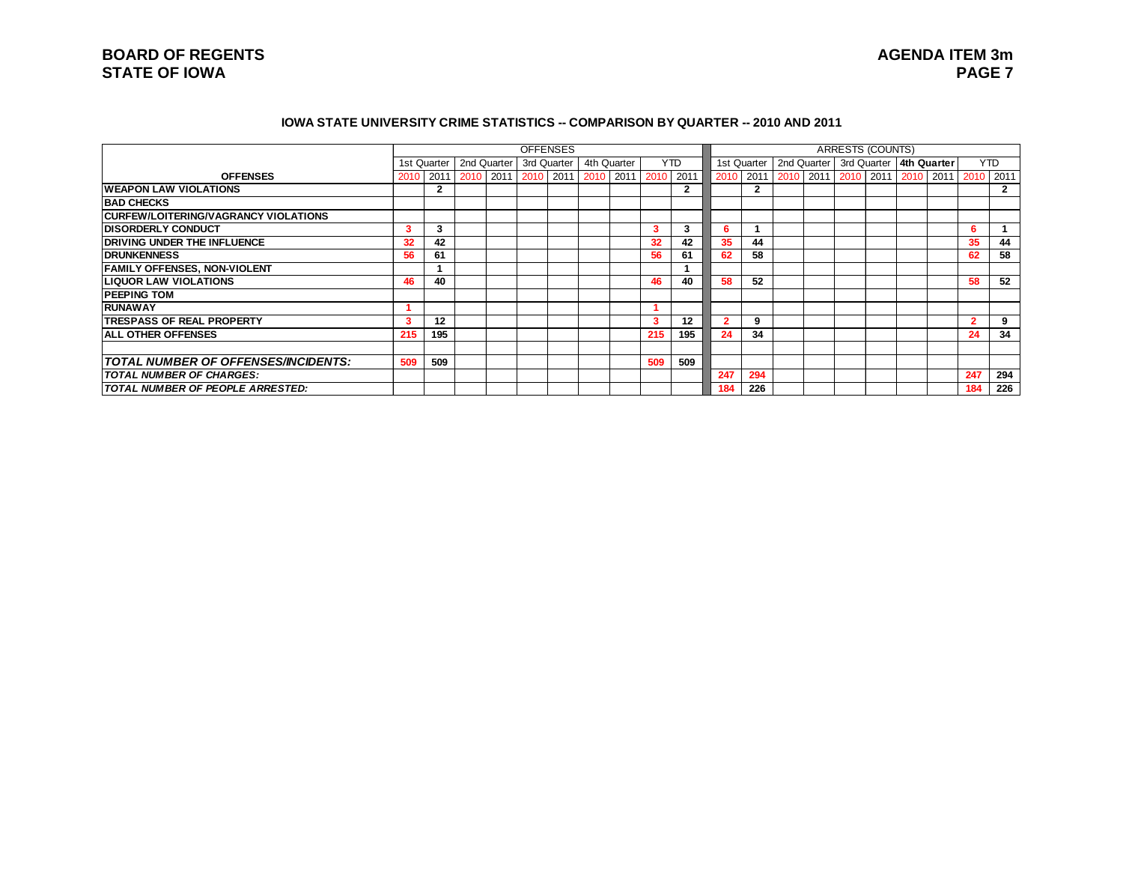#### **IOWA STATE UNIVERSITY CRIME STATISTICS -- COMPARISON BY QUARTER -- 2010 AND 2011**

|                                             |      |                |                                         |  | <b>OFFENSES</b> |             |                 |      |           |              |  | <b>ARRESTS (COUNTS)</b>             |  |      |                |              |
|---------------------------------------------|------|----------------|-----------------------------------------|--|-----------------|-------------|-----------------|------|-----------|--------------|--|-------------------------------------|--|------|----------------|--------------|
|                                             |      |                | 1st Quarter   2nd Quarter   3rd Quarter |  |                 | 4th Quarter |                 | YTD. |           | 1st Quarter  |  | 2nd Quarter 3rd Quarter 4th Quarter |  |      |                | <b>YTD</b>   |
| <b>OFFENSES</b>                             | 2010 |                |                                         |  |                 |             |                 |      | 2010 2011 |              |  | 2010 2011 2010 2011 2010            |  | 2011 | 2010           | 2011         |
| <b>WEAPON LAW VIOLATIONS</b>                |      | $\overline{2}$ |                                         |  |                 |             |                 | 2    |           | $\mathbf{2}$ |  |                                     |  |      |                | $\mathbf{2}$ |
| <b>BAD CHECKS</b>                           |      |                |                                         |  |                 |             |                 |      |           |              |  |                                     |  |      |                |              |
| <b>CURFEW/LOITERING/VAGRANCY VIOLATIONS</b> |      |                |                                         |  |                 |             |                 |      |           |              |  |                                     |  |      |                |              |
| <b>IDISORDERLY CONDUCT</b>                  | 3    | 3              |                                         |  |                 |             | 3               | 3    | 6         |              |  |                                     |  |      | 6              |              |
| <b>DRIVING UNDER THE INFLUENCE</b>          | 32   | 42             |                                         |  |                 |             | 32 <sup>2</sup> | 42   | 35        | 44           |  |                                     |  |      | 35             | 44           |
| <b>IDRUNKENNESS</b>                         | 56   | 61             |                                         |  |                 |             | 56              | 61   | 62        | 58           |  |                                     |  |      | 62             | 58           |
| <b>FAMILY OFFENSES, NON-VIOLENT</b>         |      |                |                                         |  |                 |             |                 |      |           |              |  |                                     |  |      |                |              |
| <b>LIQUOR LAW VIOLATIONS</b>                | 46   | 40             |                                         |  |                 |             | 46              | 40   | 58        | 52           |  |                                     |  |      | 58             | 52           |
| <b>PEEPING TOM</b>                          |      |                |                                         |  |                 |             |                 |      |           |              |  |                                     |  |      |                |              |
| <b>RUNAWAY</b>                              |      |                |                                         |  |                 |             |                 |      |           |              |  |                                     |  |      |                |              |
| <b>ITRESPASS OF REAL PROPERTY</b>           | ۰    | 12             |                                         |  |                 |             | 3               | 12   |           | 9            |  |                                     |  |      | $\overline{2}$ | 9            |
| <b>IALL OTHER OFFENSES</b>                  | 215  | 195            |                                         |  |                 |             | 215             | 195  | 24        | 34           |  |                                     |  |      | 24             | 34           |
|                                             |      |                |                                         |  |                 |             |                 |      |           |              |  |                                     |  |      |                |              |
| <b>TOTAL NUMBER OF OFFENSES/INCIDENTS:</b>  | 509  | 509            |                                         |  |                 |             | 509             | 509  |           |              |  |                                     |  |      |                |              |
| <b>TOTAL NUMBER OF CHARGES:</b>             |      |                |                                         |  |                 |             |                 |      | 247       | 294          |  |                                     |  |      | 247            | 294          |
| <b>TOTAL NUMBER OF PEOPLE ARRESTED:</b>     |      |                |                                         |  |                 |             |                 |      | 184       | 226          |  |                                     |  |      | 184            | 226          |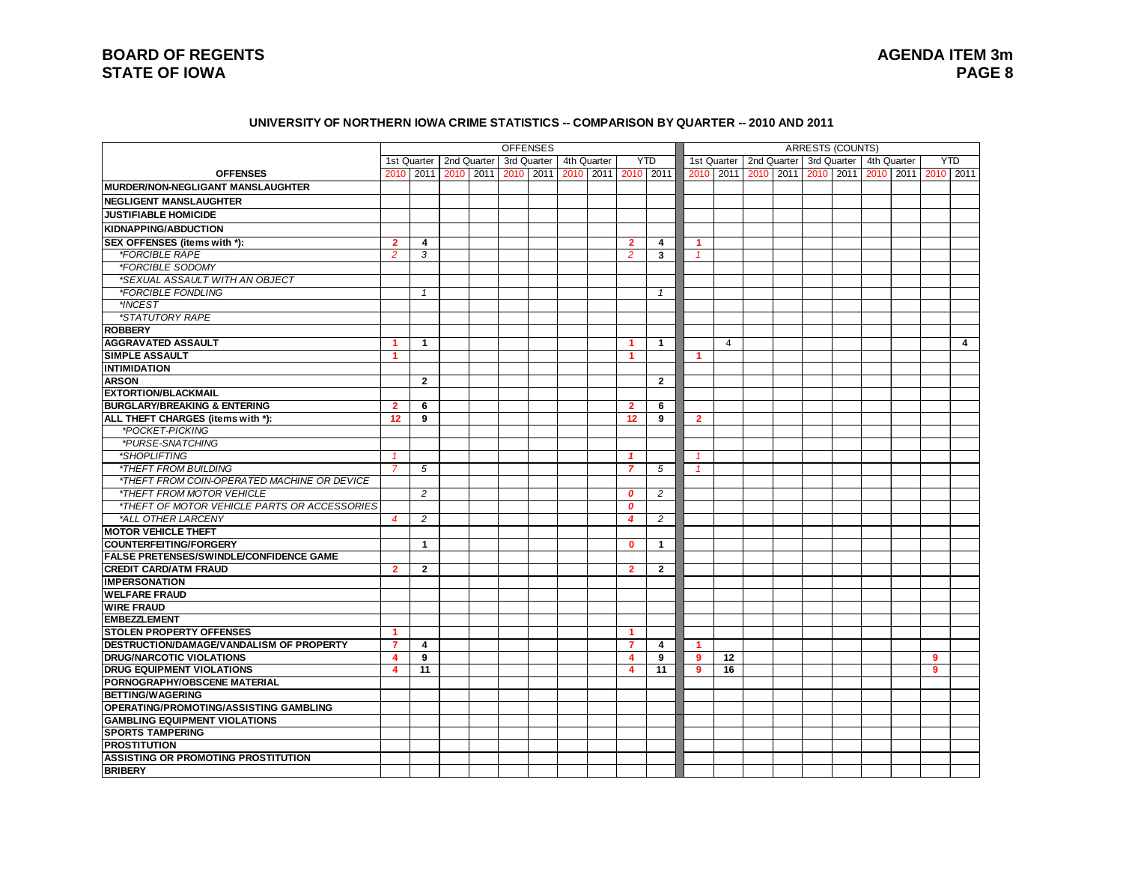#### **UNIVERSITY OF NORTHERN IOWA CRIME STATISTICS -- COMPARISON BY QUARTER -- 2010 AND 2011**

|                                                                          |                                |                                         |  | <b>OFFENSES</b> |             |                         |                         |                |                |  | <b>ARRESTS (COUNTS)</b>               |  |   |            |
|--------------------------------------------------------------------------|--------------------------------|-----------------------------------------|--|-----------------|-------------|-------------------------|-------------------------|----------------|----------------|--|---------------------------------------|--|---|------------|
|                                                                          |                                | 1st Quarter   2nd Quarter   3rd Quarter |  |                 | 4th Quarter |                         | <b>YTD</b>              |                | 1st Quarter    |  | 2nd Quarter 3rd Quarter   4th Quarter |  |   | <b>YTD</b> |
| <b>OFFENSES</b>                                                          |                                | 2010   2011   2010   2011   2010   2011 |  |                 |             |                         | 2010 2011 2010 2011     |                | 2010 2011      |  |                                       |  |   |            |
| <b>MURDER/NON-NEGLIGANT MANSLAUGHTER</b>                                 |                                |                                         |  |                 |             |                         |                         |                |                |  |                                       |  |   |            |
| <b>NEGLIGENT MANSLAUGHTER</b>                                            |                                |                                         |  |                 |             |                         |                         |                |                |  |                                       |  |   |            |
| <b>JUSTIFIABLE HOMICIDE</b>                                              |                                |                                         |  |                 |             |                         |                         |                |                |  |                                       |  |   |            |
| <b>KIDNAPPING/ABDUCTION</b>                                              |                                |                                         |  |                 |             |                         |                         |                |                |  |                                       |  |   |            |
| SEX OFFENSES (items with *):                                             | $\overline{2}$                 | 4                                       |  |                 |             | $\overline{2}$          | 4                       | -1             |                |  |                                       |  |   |            |
| <i><b>*FORCIBLE RAPE</b></i>                                             | $\overline{2}$                 | 3                                       |  |                 |             | $\overline{2}$          | $\overline{\mathbf{3}}$ |                |                |  |                                       |  |   |            |
| *FORCIBLE SODOMY                                                         |                                |                                         |  |                 |             |                         |                         |                |                |  |                                       |  |   |            |
| *SEXUAL ASSAULT WITH AN OBJECT                                           |                                |                                         |  |                 |             |                         |                         |                |                |  |                                       |  |   |            |
| *FORCIBLE FONDLING                                                       |                                | $\mathbf{1}$                            |  |                 |             |                         | 1                       |                |                |  |                                       |  |   |            |
| *INCEST                                                                  |                                |                                         |  |                 |             |                         |                         |                |                |  |                                       |  |   |            |
| *STATUTORY RAPE                                                          |                                |                                         |  |                 |             |                         |                         |                |                |  |                                       |  |   |            |
| <b>ROBBERY</b>                                                           |                                |                                         |  |                 |             |                         |                         |                |                |  |                                       |  |   |            |
|                                                                          |                                |                                         |  |                 |             | 1                       |                         |                | $\overline{4}$ |  |                                       |  |   |            |
| <b>AGGRAVATED ASSAULT</b><br>SIMPLE ASSAULT                              | 1<br>1                         | $\overline{1}$                          |  |                 |             |                         | $\mathbf 1$             | -1             |                |  |                                       |  |   | 4          |
|                                                                          |                                |                                         |  |                 |             |                         |                         |                |                |  |                                       |  |   |            |
| <b>INTIMIDATION</b><br><b>ARSON</b>                                      |                                | $\mathbf{2}$                            |  |                 |             |                         | $\overline{2}$          |                |                |  |                                       |  |   |            |
|                                                                          |                                |                                         |  |                 |             |                         |                         |                |                |  |                                       |  |   |            |
| <b>EXTORTION/BLACKMAIL</b>                                               |                                |                                         |  |                 |             |                         |                         |                |                |  |                                       |  |   |            |
| <b>BURGLARY/BREAKING &amp; ENTERING</b>                                  | $\overline{2}$                 | 6                                       |  |                 |             | $\overline{2}$          | 6                       |                |                |  |                                       |  |   |            |
| ALL THEFT CHARGES (items with *):                                        | 12                             | 9                                       |  |                 |             | 12                      | 9                       | $\overline{2}$ |                |  |                                       |  |   |            |
| *POCKET-PICKING                                                          |                                |                                         |  |                 |             |                         |                         |                |                |  |                                       |  |   |            |
| *PURSE-SNATCHING                                                         |                                |                                         |  |                 |             |                         |                         |                |                |  |                                       |  |   |            |
| *SHOPLIFTING<br><i><b>*THEFT FROM BUILDING</b></i>                       | $\mathbf{1}$<br>$\overline{7}$ |                                         |  |                 |             | $\mathbf{1}$            |                         |                |                |  |                                       |  |   |            |
|                                                                          |                                | 5                                       |  |                 |             | $\overline{7}$          | 5                       |                |                |  |                                       |  |   |            |
| *THEFT FROM COIN-OPERATED MACHINE OR DEVICE<br>*THEFT FROM MOTOR VEHICLE |                                | $\overline{2}$                          |  |                 |             |                         |                         |                |                |  |                                       |  |   |            |
|                                                                          |                                |                                         |  |                 |             | 0                       | $\overline{2}$          |                |                |  |                                       |  |   |            |
| *THEFT OF MOTOR VEHICLE PARTS OR ACCESSORIES                             |                                |                                         |  |                 |             | $\boldsymbol{0}$        |                         |                |                |  |                                       |  |   |            |
| *ALL OTHER LARCENY                                                       | $\overline{4}$                 | 2                                       |  |                 |             | $\overline{4}$          | $\overline{c}$          |                |                |  |                                       |  |   |            |
| <b>MOTOR VEHICLE THEFT</b>                                               |                                |                                         |  |                 |             |                         |                         |                |                |  |                                       |  |   |            |
| <b>COUNTERFEITING/FORGERY</b>                                            |                                | $\mathbf{1}$                            |  |                 |             | $\mathbf{0}$            | -1                      |                |                |  |                                       |  |   |            |
| <b>FALSE PRETENSES/SWINDLE/CONFIDENCE GAME</b>                           |                                |                                         |  |                 |             |                         |                         |                |                |  |                                       |  |   |            |
| <b>CREDIT CARD/ATM FRAUD</b>                                             | $\overline{2}$                 | $\overline{2}$                          |  |                 |             | $\overline{2}$          | $\overline{2}$          |                |                |  |                                       |  |   |            |
| <b>IMPERSONATION</b>                                                     |                                |                                         |  |                 |             |                         |                         |                |                |  |                                       |  |   |            |
| <b>WELFARE FRAUD</b>                                                     |                                |                                         |  |                 |             |                         |                         |                |                |  |                                       |  |   |            |
| <b>WIRE FRAUD</b>                                                        |                                |                                         |  |                 |             |                         |                         |                |                |  |                                       |  |   |            |
| <b>EMBEZZLEMENT</b>                                                      |                                |                                         |  |                 |             |                         |                         |                |                |  |                                       |  |   |            |
| <b>STOLEN PROPERTY OFFENSES</b>                                          | 1                              |                                         |  |                 |             | $\blacktriangleleft$    |                         |                |                |  |                                       |  |   |            |
| DESTRUCTION/DAMAGE/VANDALISM OF PROPERTY                                 | $\overline{7}$                 | 4                                       |  |                 |             | $\overline{7}$          | $\overline{\mathbf{4}}$ |                |                |  |                                       |  |   |            |
| <b>DRUG/NARCOTIC VIOLATIONS</b>                                          | 4                              | 9                                       |  |                 |             | $\overline{\mathbf{4}}$ | 9                       | 9              | 12             |  |                                       |  | 9 |            |
| <b>DRUG EQUIPMENT VIOLATIONS</b>                                         | $\overline{\mathbf{4}}$        | 11                                      |  |                 |             | $\overline{\mathbf{4}}$ | 11                      | 9              | 16             |  |                                       |  | 9 |            |
| PORNOGRAPHY/OBSCENE MATERIAL                                             |                                |                                         |  |                 |             |                         |                         |                |                |  |                                       |  |   |            |
| <b>BETTING/WAGERING</b>                                                  |                                |                                         |  |                 |             |                         |                         |                |                |  |                                       |  |   |            |
| OPERATING/PROMOTING/ASSISTING GAMBLING                                   |                                |                                         |  |                 |             |                         |                         |                |                |  |                                       |  |   |            |
| <b>GAMBLING EQUIPMENT VIOLATIONS</b>                                     |                                |                                         |  |                 |             |                         |                         |                |                |  |                                       |  |   |            |
| <b>SPORTS TAMPERING</b>                                                  |                                |                                         |  |                 |             |                         |                         |                |                |  |                                       |  |   |            |
| <b>PROSTITUTION</b>                                                      |                                |                                         |  |                 |             |                         |                         |                |                |  |                                       |  |   |            |
| ASSISTING OR PROMOTING PROSTITUTION                                      |                                |                                         |  |                 |             |                         |                         |                |                |  |                                       |  |   |            |
| <b>BRIBERY</b>                                                           |                                |                                         |  |                 |             |                         |                         |                |                |  |                                       |  |   |            |